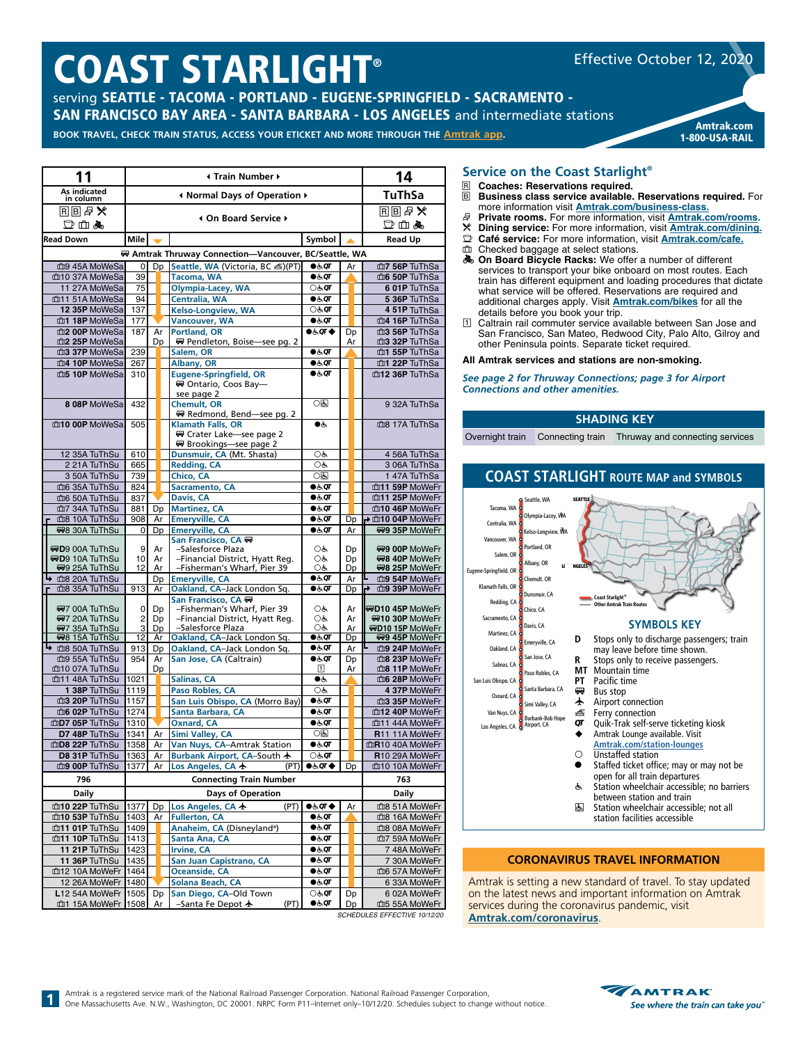# COAST STARLIGHT®

serving SEATTLE - TACOMA - PORTLAND - EUGENE-SPRINGFIELD - SACRAMENTO - SAN FRANCISCO BAY AREA - SANTA BARBARA - LOS ANGELES and intermediate stations

### **BOOK TRAVEL, CHECK TRAIN STATUS, ACCESS YOUR ETICKET AND MORE THROUGH THE [Amtrak app](https://www.amtrak.com/mobile).** Amtrak.com

| 11                                              |                                                       |                | 14                                                             |                                |          |                                            |  |  |  |
|-------------------------------------------------|-------------------------------------------------------|----------------|----------------------------------------------------------------|--------------------------------|----------|--------------------------------------------|--|--|--|
| As indicated<br>in column                       |                                                       |                | Infinity Mormal Days of Operation ♦                            | <b>TuThSa</b>                  |          |                                            |  |  |  |
| 国国县义                                            |                                                       |                | 4 On Board Service ▶                                           |                                |          | <b>R</b> <sub>图</sub> ■ ※                  |  |  |  |
| 口山丸                                             |                                                       |                |                                                                |                                |          | 口血晶                                        |  |  |  |
| <b>Read Down</b>                                | Mile                                                  |                |                                                                | Symbol                         |          | <b>Read Up</b>                             |  |  |  |
|                                                 | ₩ Amtrak Thruway Connection-Vancouver, BC/Seattle, WA |                |                                                                |                                |          |                                            |  |  |  |
| mg 45A MoWeSa                                   | 0                                                     | D <sub>D</sub> | Seattle, WA (Victoria, BC &)(PT)                               | $\bullet$ க்ள                  | Ar       | m7 56P TuThSa                              |  |  |  |
| m10 37A MoWeSa                                  | 39                                                    |                | Tacoma, WA                                                     | $\bullet$ க்ள                  |          | m6 50P TuThSa                              |  |  |  |
| 11 27A MoWeSa<br>m11 51A MoWeSa                 | 75<br>94                                              |                | Olympia-Lacey, WA                                              | ⊖रू. <b>ा</b><br>$\bullet$ க்ர |          | 6 01P TuThSa<br>5 36P TuThSa               |  |  |  |
| 12 35P MoWeSa                                   | 137                                                   |                | Centralia, WA<br>Kelso-Longview, WA                            | े $\sigma$                     |          | 4 51P TuThSa                               |  |  |  |
| m1 18P MoWeSa                                   | 177                                                   |                | <b>Vancouver, WA</b>                                           | ●க்⊄                           |          | m4 16P TuThSa                              |  |  |  |
| m2 00P MoWeSa                                   | 187                                                   | Ar             | <b>Portland, OR</b>                                            | <b>●よの◆</b>                    | Dp       | m3 56P TuThSa                              |  |  |  |
| m2 25P MoWeSa                                   |                                                       | Dp             | ₩ Pendleton, Boise—see pg. 2                                   |                                | Ar       | m3 32P TuThSa                              |  |  |  |
| m3 37P MoWeSa<br>m4 10P MoWeSa                  | 239<br>267                                            |                | Salem, OR<br>Albany, OR                                        | $\bullet$ க்ள<br>●रूं⊄         |          | m1 55P TuThSa<br>m <sup>1</sup> 22P TuThSa |  |  |  |
| m5 10P MoWeSa                                   | 310                                                   |                | <b>Eugene-Springfield, OR</b>                                  | $\bullet$ க்ர                  |          | m12 36P TuThSa                             |  |  |  |
|                                                 |                                                       |                | ₩ Ontario, Coos Bay-                                           |                                |          |                                            |  |  |  |
|                                                 |                                                       |                | see page 2                                                     | 0因                             |          |                                            |  |  |  |
| 8 08P MoWeSa                                    | 432                                                   |                | <b>Chemult, OR</b><br>₩ Redmond, Bend-see pg. 2                |                                |          | 9 32A TuThSa                               |  |  |  |
| m10 00P MoWeSa                                  | 505                                                   |                | <b>Klamath Falls, OR</b>                                       | ●ط                             |          | ma 17A TuThSa                              |  |  |  |
|                                                 |                                                       |                | ₩ Crater Lake-see page 2                                       |                                |          |                                            |  |  |  |
| 12 35A TuThSu                                   | 610                                                   |                | ₩ Brookings-see page 2                                         | OĠ                             |          | 4 56A TuThSa                               |  |  |  |
| 2 21A TuThSu                                    | 665                                                   |                | Dunsmuir, CA (Mt. Shasta)<br><b>Redding, CA</b>                | OĠ                             |          | 3 06A TuThSa                               |  |  |  |
| 3 50A TuThSu                                    | 739                                                   |                | Chico, CA                                                      | $\overline{O}$                 |          | 1 47A TuThSa                               |  |  |  |
| mo 35A TuThSu                                   | 824                                                   |                | Sacramento, CA                                                 | $\bullet$ க்ள                  |          | m11 59P MoWeFr                             |  |  |  |
| m6 50A TuThSu                                   | 837                                                   |                | Davis, CA                                                      | ●க்⊄                           |          | m11 25P MoWeFr                             |  |  |  |
| m7 34A TuThSu<br>ma 10A TuThSu                  | 881<br>908                                            | Dp             | <b>Martinez, CA</b>                                            | ●க்ள<br>●ऊं0ा                  |          | m10 46P MoWeFr                             |  |  |  |
| 498 30A TuThSu                                  | 0                                                     | Ar<br>Dp       | <b>Emeryville, CA</b><br><b>Emervville, CA</b>                 | $\bullet$ க்ள                  | Dp<br>Ar | → 血10 04P MoWeFr<br>#9 35P MoWeFr          |  |  |  |
|                                                 |                                                       |                | San Francisco, CA (四)                                          |                                |          |                                            |  |  |  |
| <b>WD9 00A TuThSu</b>                           | 9                                                     | Ar             | -Salesforce Plaza                                              | OĠ                             | Dp       | ₩9 00P MoWeFr                              |  |  |  |
| ₩D9 10A TuThSu<br>₩9 25A TuThSu                 | 10<br>12                                              | Ar<br>Ar       | -Financial District, Hyatt Reg.<br>-Fisherman's Wharf, Pier 39 | OĠ<br>OĠ                       | Dp<br>Dp | R98 40P MoWeFr<br>#8 25P MoWeFr            |  |  |  |
| 血8 20A TuThSu                                   |                                                       | Dp             | <b>Emeryville, CA</b>                                          | ●रूक                           | Ar       | m9 54P MoWeFr                              |  |  |  |
| md8 35A TuThSu                                  | 913                                                   | Ar             | Oakland, CA-Jack London Sq.                                    | ●ऊं⊄                           | Dp       | ₹<br>m9 39P MoWeFr                         |  |  |  |
| ₩7 00A TuThSu                                   | 0                                                     | Dp             | San Francisco, CA (F)<br>-Fisherman's Wharf, Pier 39           | OĠ                             | Ar       | ₩D10 45P MoWeFr                            |  |  |  |
| ₩7 20A TuThSu                                   | 2                                                     | Dp             | -Financial District, Hyatt Reg.                                | OĠ                             | Ar       | R910 30P MoWeFr                            |  |  |  |
| ₩7 35A TuThSu                                   | 3                                                     | Dp             | -Salesforce Plaza                                              | OĠ                             | Ar       | ₩D10 15P MoWeFr                            |  |  |  |
| <b>498 15A TuThSu</b><br><b>+ m8 50A TuThSu</b> | $\overline{12}$<br>913                                | Ar<br>Dp       | Oakland, CA-Jack London Sq.<br>Oakland, CA-Jack London Sq.     | ●க்⊄<br>●க்ள                   | Dp<br>Ar | ₩9 45P MoWeFr<br>m9 24P MoWeFr             |  |  |  |
| m9 55A TuThSu                                   | 954                                                   | Ar             | San Jose, CA (Caltrain)                                        | ●ऊं0ा                          | Dp       | 血8 23P MoWeFr                              |  |  |  |
| m10 07A TuThSu                                  |                                                       | Dp             |                                                                | Π                              | Ar       | m <sup>8</sup> 11P MoWeFr                  |  |  |  |
| m11 48A TuThSu                                  | 1021                                                  |                | Salinas, CA                                                    | ●ఉ                             |          | m6 28P MoWeFr                              |  |  |  |
| 1 38P TuThSu<br>m3 20P TuThSu                   | 1119<br>1157                                          |                | Paso Robles, CA<br>San Luis Obispo, CA (Morro Bay)             | OĠ<br>$0.6$ OT                 |          | 4 37P MoWeFr<br>血3 35P MoWeFr              |  |  |  |
| m6 02P TuThSu                                   | 1274                                                  |                | Santa Barbara, CA                                              | $\bullet$ க்ள                  |          | m12 40P MoWeFr                             |  |  |  |
| mD7 05P TuThSu                                  | 1310                                                  |                | <b>Oxnard, CA</b>                                              | ●க்⊄                           |          | m11 44A MoWeFr                             |  |  |  |
| D7 48P TuThSu                                   | 1341                                                  | Ar             | <b>Simi Valley, CA</b>                                         | 0因                             |          | R11 11A MoWeFr                             |  |  |  |
| mD8 22P TuThSu                                  | 1358                                                  | Ar             | Van Nuys, CA–Amtrak Station                                    | ●रूं0ा                         |          | 血R10 40A MoWeFr                            |  |  |  |
| D8 31P TuThSu<br>m9 00P TuThSu                  | 1363                                                  | Ar             | Burbank Airport, CA-South ★                                    | ⊖रू. <b>ा</b>                  |          | R10 29A MoWeFr<br>血10 10A MoWeFr           |  |  |  |
| 796                                             | 1377                                                  | Ar             | Los Angeles, CA 卡<br>(PT)<br><b>Connecting Train Number</b>    | ●&QT ♦                         | Dp       | 763                                        |  |  |  |
|                                                 |                                                       |                |                                                                |                                |          |                                            |  |  |  |
| <b>Daily</b>                                    |                                                       |                | <b>Days of Operation</b>                                       |                                |          | <b>Daily</b>                               |  |  |  |
| m10 22P TuThSu<br>m10 53P TuThSu                | 1377<br>1403                                          | Dp<br>Ar       | Los Angeles, CA 卡<br>(PT)<br><b>Fullerton, CA</b>              | ●よの◆<br>●रूं0ा                 | Ar       | 血8 51A MoWeFr<br>md8 16A MoWeFr            |  |  |  |
| m11 01P TuThSu                                  | 1409                                                  |                | Anaheim, CA (Disneyland®)                                      | ●ऊं0ा                          |          | 血8 08A MoWeFr                              |  |  |  |
| m11 10P TuThSu                                  | 1413                                                  |                | Santa Ana, CA                                                  | ●ऊं0ा                          |          | 血7 59A MoWeFr                              |  |  |  |
| 11 21P TuThSu                                   | 1423                                                  |                | <b>Irvine, CA</b>                                              | ●ऊं0ा                          |          | 7 48A MoWeFr                               |  |  |  |
| 11 36P TuThSu<br>m12 10A MoWeFr                 | 1435                                                  |                | San Juan Capistrano, CA<br>Oceanside, CA                       | ●रूं0ा                         |          | 7 30A MoWeFr                               |  |  |  |
| 12 26A MoWeFr 1480                              | 1464                                                  |                | Solana Beach, CA                                               | ●ऊं0ा<br>●க்⊄                  |          | m6 57A MoWeFr<br>6 33A MoWeFr              |  |  |  |
| L12 54A MoWeFr 1505                             |                                                       | Dp             | San Diego, CA-Old Town                                         | ⊖रू ⊘ा                         | Dp       | 6 02A MoWeFr                               |  |  |  |
| m1 15A MoWeFr 1508                              |                                                       | Ar             | -Santa Fe Depot ★<br>(PT)                                      | ●रूं0ा                         | Dp       | 血5 55A MoWeFr                              |  |  |  |

### **Service on the Coast Starlight®**

R **Coaches: Reservations required. Business class service available. Reservations required.** For

1-800-USA-RAIL

Effective October 12, 2020

- more information visit **[Amtrak.com/business-class](https://www.amtrak.com/business-class?cmp=pdsrch-Amtrak%7CBrand%7CNational%7CExact-google&&gclid=Cj0KCQjw5rbsBRCFARIsAGEYRwceBpOzyfBaDssQE13eLbHxW5STB4HYDBQ_L61Jvmij9USUQssczpkaAvFpEALw_wcB).** s **Private rooms.** For more information, visit **[Amtrak.com/rooms](https://www.amtrak.com/rooms).**
- r **Dining service:** For more information, visit **[Amtrak.com/dining](https://www.amtrak.com/onboard-the-train-meals-dining).**
- y **Café service:** For more information, visit **[Amtrak.com/](https://www.amtrak.com/cafe)cafe.**
- Checked baggage at select stations.
- **& On Board Bicycle Racks:** We offer a number of different services to transport your bike onboard on most routes. Each train has different equipment and loading procedures that dictate what service will be offered. Reservations are required and additional charges apply. Visit **[Amtrak.com/bikes](https://www.amtrak.com/bikes)** for all the details before you book your trip.
- 1 Caltrain rail commuter service available between San Jose and San Francisco, San Mateo, Redwood City, Palo Alto, Gilroy and other Peninsula points. Separate ticket required.

### **All Amtrak services and stations are non-smoking.**

*See page 2 for Thruway Connections; page 3 for Airport Connections and other amenities.*

### **SHADING KEY**

Overnight train Connecting train Thruway and connecting services

### **COAST STARLIGHT ROUTE MAP and SYMBOLS**



### **CORONAVIRUS TRAVEL INFORMATION**

Amtrak is setting a new standard of travel. To stay updated on the latest news and important information on Amtrak services during the coronavirus pandemic, visit **[Amtrak.com/](https://www.amtrak.com/coronavirus)coronavirus**.

*SCHEDULES EFFECTIVE 10/12/20*



**1**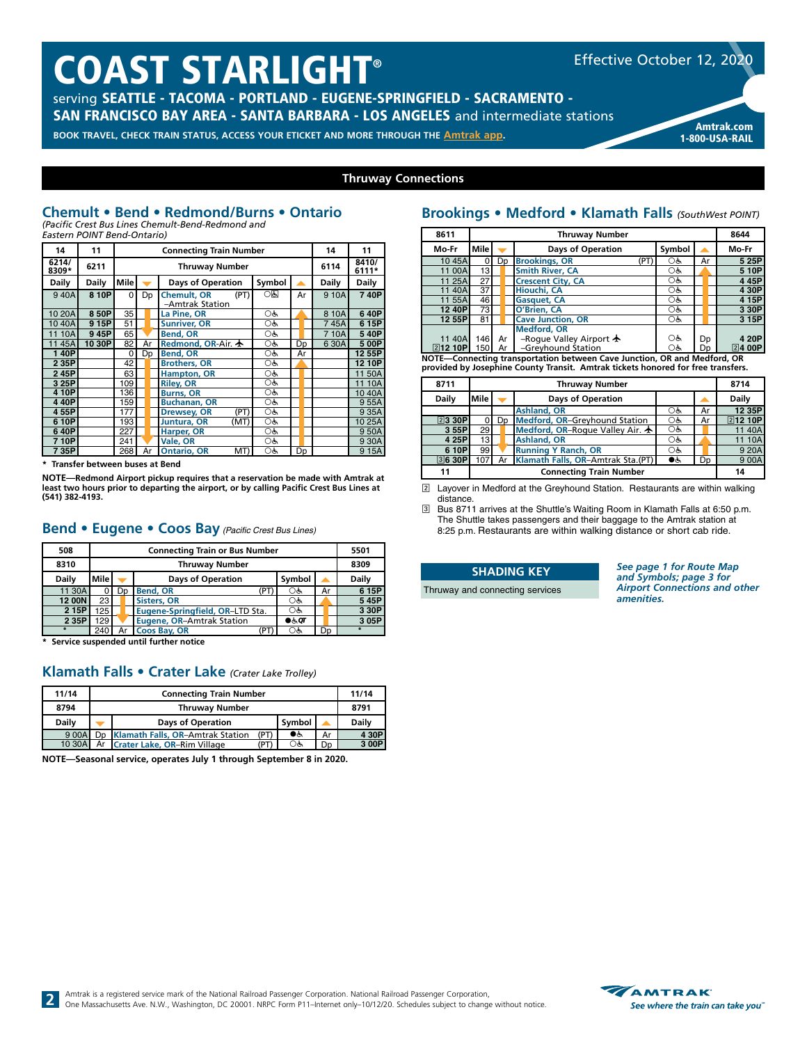## COAST STARLIGHT®

serving SEATTLE - TACOMA - PORTLAND - EUGENE-SPRINGFIELD - SACRAMENTO - SAN FRANCISCO BAY AREA - SANTA BARBARA - LOS ANGELES and intermediate stations

**BOOK TRAVEL, CHECK TRAIN STATUS, ACCESS YOUR ETICKET AND MORE THROUGH THE [Amtrak app](https://www.amtrak.com/mobile). Amtrak app. Amtrak.com 1-800-IISA-RAII** 



1-800-USA-RAIL

### **Thruway Connections**

### **Chemult • Bend • Redmond/Burns • Ontario** *(Pacific Crest Bus Lines Chemult-Bend-Redmond and*

*Eastern POINT Bend-Ontario)*

| 14             | 11           |          |    |                                               | 14             | 11 |  |              |        |
|----------------|--------------|----------|----|-----------------------------------------------|----------------|----|--|--------------|--------|
| 6214/<br>8309* | 6211         |          |    | 6114                                          | 8410/<br>6111* |    |  |              |        |
| <b>Daily</b>   | <b>Daily</b> | Mile     |    | <b>Days of Operation</b>                      | Symbol         |    |  | <b>Daily</b> | Daily  |
| 940A           | 8 10P        | $\Omega$ | Dp | (PT)<br><b>Chemult, OR</b><br>-Amtrak Station | ाड             | Ar |  | 9 10A        | 740P   |
| 10 20A         | 850P         | 35       |    | La Pine, OR                                   | OĠ             |    |  | 8 10A        | 640P   |
| 1040A          | 915P         | 51       |    | <b>Sunriver, OR</b>                           | ОĠ             |    |  | 745A         | 615P   |
| 11 10A         | 945P         | 65       |    | <b>Bend, OR</b>                               | OĠ             |    |  | 710A         | 540P   |
| 1145A          | 10 30P       | 82       | Ar | Redmond, OR-Air. $\bigstar$                   | OĠ,            | Dp |  | 6 30A        | 5 00P  |
| 140P           |              | $\Omega$ | Dp | <b>Bend, OR</b>                               | OĠ,            | Ar |  |              | 12 55P |
| 2 3 5 P        |              | 42       |    | <b>Brothers, OR</b>                           | OĠ,            |    |  |              | 12 10P |
| 245P           |              | 63       |    | Hampton, OR                                   | OĠ             |    |  |              | 11 50A |
| 3 25P          |              | 109      |    | <b>Riley, OR</b>                              | OĠ,            |    |  |              | 11 10A |
| 410P           |              | 136      |    | <b>Burns, OR</b>                              | OĠ             |    |  |              | 1040A  |
| 440P           |              | 159      |    | <b>Buchanan, OR</b>                           | OĠ             |    |  |              | 955A   |
| 455P           |              | 177      |    | (PT)<br><b>Drewsey, OR</b>                    | OĠ             |    |  |              | 9 35A  |
| 610P           |              | 193      |    | Juntura, OR<br>(MT)                           | OĠ             |    |  |              | 10 25A |
| 640P           |              | 227      |    | Harper, OR                                    | OĠ             |    |  |              | 950A   |
| 710P           |              | 241      |    | Vale, OR                                      | OĠ             |    |  |              | 9 30A  |
| 735P           |              | 268      | Ar | <b>Ontario, OR</b><br>MT)                     | OĠ             | Dp |  |              | 915A   |

**\* Transfer between buses at Bend**

**NOTE—Redmond Airport pickup requires that a reservation be made with Amtrak at least two hours prior to departing the airport, or by calling Pacific Crest Bus Lines at (541) 382-4193.**

### **Bend • Eugene • Coos Bay** *(Pacific Crest Bus Lines)*

| 508          | <b>Connecting Train or Bus Number</b> |                       |                                 |          |                |       |  |  |  |  |  |  |
|--------------|---------------------------------------|-----------------------|---------------------------------|----------|----------------|-------|--|--|--|--|--|--|
| 8310         |                                       | <b>Thruway Number</b> |                                 |          |                |       |  |  |  |  |  |  |
| <b>Daily</b> | Mile                                  |                       | <b>Days of Operation</b>        | Symbol   |                | Daily |  |  |  |  |  |  |
| 11 30A       |                                       | Dp                    | <b>Bend, OR</b><br>(PT)         | ОĠ       | Ar             | 615P  |  |  |  |  |  |  |
| 12 00N       | 23                                    |                       | <b>Sisters, OR</b>              | ОĠ       |                | 545P  |  |  |  |  |  |  |
| 2 15P        | 125                                   |                       | Eugene-Springfield, OR-LTD Sta. | Оè       |                | 3 30P |  |  |  |  |  |  |
| 2 35P        | 129                                   |                       | Eugene, OR-Amtrak Station       | $0.5$ or |                | 305P  |  |  |  |  |  |  |
|              | 240<br>Ar                             |                       | Coos Bay, OR<br>(PT             | ОĠ       | D <sub>D</sub> |       |  |  |  |  |  |  |

**\* Service suspended until further notice**

**2**

### **Klamath Falls • Crater Lake** *(Crater Lake Trolley)*

| 11/14        |  |                                     | 11/14        |     |    |       |  |  |  |  |  |  |
|--------------|--|-------------------------------------|--------------|-----|----|-------|--|--|--|--|--|--|
| 8794         |  | <b>Thruway Number</b>               |              |     |    |       |  |  |  |  |  |  |
| <b>Daily</b> |  | <b>Days of Operation</b>            | <b>Daily</b> |     |    |       |  |  |  |  |  |  |
|              |  |                                     | (PT)         | ●ऊं |    | 4 30P |  |  |  |  |  |  |
| 9 00A        |  | Dp Klamath Falls, OR-Amtrak Station |              |     | Ar |       |  |  |  |  |  |  |

**NOTE—Seasonal service, operates July 1 through September 8 in 2020.**

### **Brookings • Medford • Klamath Falls** *(SouthWest POINT)*

| 8611            |              | <b>Thruway Number</b> |                |                                                                          |        |  |    |                |  |  |  |  |
|-----------------|--------------|-----------------------|----------------|--------------------------------------------------------------------------|--------|--|----|----------------|--|--|--|--|
| Mo-Fr           | <b>Mile</b>  |                       |                | <b>Days of Operation</b>                                                 | Symbol |  |    | Mo-Fr          |  |  |  |  |
| 10 45A          |              |                       | D <sub>D</sub> | <b>Brookings, OR</b><br>(PT)                                             | Оè     |  | Ar | 5 25P          |  |  |  |  |
| 11 00A          | 13           |                       |                | <b>Smith River, CA</b>                                                   | OĠ     |  |    | 5 10P          |  |  |  |  |
| 11 25A          | 27           |                       |                | <b>Crescent City, CA</b>                                                 | OĠ     |  |    | 4 45P          |  |  |  |  |
| 11 40A          | 37           |                       |                | Hiouchi, CA                                                              | OĠ     |  |    | 4 30P          |  |  |  |  |
| 11 55A          | 46           |                       |                | <b>Gasquet, CA</b>                                                       | OĠ     |  |    | 4 15P          |  |  |  |  |
| 12 40P          | 73           |                       |                | O'Brien, CA                                                              | Oģ,    |  |    | 3 30P          |  |  |  |  |
| 12 55P          | 81           |                       |                | <b>Cave Junction, OR</b>                                                 | OĠ     |  |    | 3 15P          |  |  |  |  |
|                 |              |                       |                | <b>Medford, OR</b>                                                       |        |  |    |                |  |  |  |  |
| 11 40A          | 146I         |                       | Ar             | -Roque Valley Airport $\bigstar$                                         | OĠ     |  | Dp | 4 20P          |  |  |  |  |
| <b>212 10PI</b> | 150 <b>I</b> |                       | Ar             | -Greyhound Station                                                       | Оè     |  | Dn | $\sqrt{2}400P$ |  |  |  |  |
|                 |              |                       |                | NOTE-Connecting transportation between Cave Junction, OR and Medford, OR |        |  |    |                |  |  |  |  |

**NOTE—Connecting transportation between Cave Junction, OR and Medford, OR provided by Josephine County Transit. Amtrak tickets honored for free transfers.**

| 8711         |         | 8714 |  |                                          |    |    |    |                |
|--------------|---------|------|--|------------------------------------------|----|----|----|----------------|
| <b>Daily</b> | lMile l |      |  | <b>Days of Operation</b>                 |    |    |    | <b>Daily</b>   |
|              |         |      |  | <b>Ashland, OR</b>                       | Оè | Ar |    | 12 35P         |
| 23 30P       |         | Dp   |  | Medford, OR-Greyhound Station            | OĠ |    | Ar | <b>212 10P</b> |
| 3 55P        | 29      |      |  | Medford, OR-Roque Valley Air. $\bigstar$ | OĠ |    |    | 11 40A         |
| 4 25P        | 13      |      |  | <b>Ashland, OR</b>                       | Оè |    |    | 11 10A         |
| 6 10P        | 99      |      |  | <b>Running Y Ranch, OR</b>               | ОĠ |    |    | 9 20A          |
| 3630P        | 107     |      |  | Klamath Falls, OR-Amtrak Sta.(PT)        | ●७ |    | Dn | 9 00A          |
| 11           |         | 14   |  |                                          |    |    |    |                |

2 Layover in Medford at the Greyhound Station. Restaurants are within walking distance.

3 Bus 8711 arrives at the Shuttle's Waiting Room in Klamath Falls at 6:50 p.m. The Shuttle takes passengers and their baggage to the Amtrak station at 8:25 p.m. Restaurants are within walking distance or short cab ride.

| <b>SHADING KEY</b>              |  |
|---------------------------------|--|
| Thruway and connecting services |  |

*See page 1 for Route Map and Symbols; page 3 for Airport Connections and other amenities.*